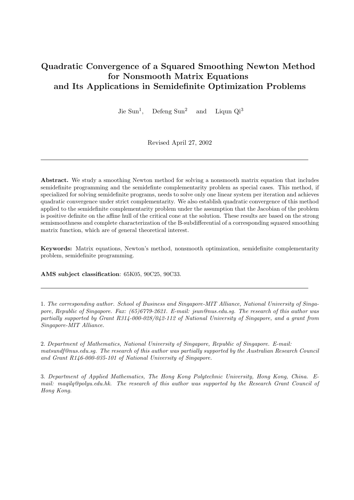# Quadratic Convergence of a Squared Smoothing Newton Method for Nonsmooth Matrix Equations and Its Applications in Semidefinite Optimization Problems

Jie Sun<sup>1</sup>, Defeng  $Sun^2$  and Liqun  $Qi^3$ 

Revised April 27, 2002

Abstract. We study a smoothing Newton method for solving a nonsmooth matrix equation that includes semidefinite programming and the semidefinte complementarity problem as special cases. This method, if specialized for solving semidefinite programs, needs to solve only one linear system per iteration and achieves quadratic convergence under strict complementarity. We also establish quadratic convergence of this method applied to the semidefinite complementarity problem under the assumption that the Jacobian of the problem is positive definite on the affine hull of the critical cone at the solution. These results are based on the strong semismoothness and complete characterization of the B-subdifferential of a corresponding squared smoothing matrix function, which are of general theoretical interest.

Keywords: Matrix equations, Newton's method, nonsmooth optimization, semidefinite complementarity problem, semidefinite programming.

AMS subject classification: 65K05, 90C25, 90C33.

1. The corresponding author. School of Business and Singapore-MIT Alliance, National University of Singapore, Republic of Singapore. Fax: (65)6779-2621. E-mail: jsun@nus.edu.sg. The research of this author was partially supported by Grant R314-000-028/042-112 of National University of Singapore, and a grant from Singapore-MIT Alliance.

2. Department of Mathematics, National University of Singapore, Republic of Singapore. E-mail: matsundf@nus.edu.sg. The research of this author was partially supported by the Australian Research Council and Grant R146-000-035-101 of National University of Singapore.

3. Department of Applied Mathematics, The Hong Kong Polytechnic University, Hong Kong, China. Email: maqilq@polyu.edu.hk. The research of this author was supported by the Research Grant Council of Hong Kong.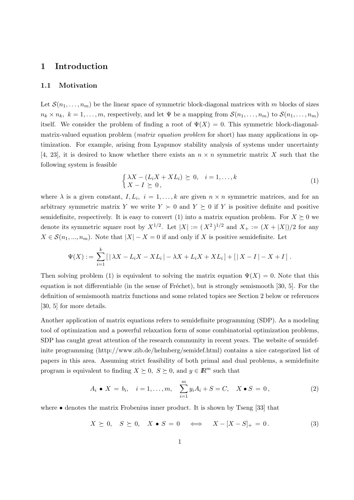### 1 Introduction

#### 1.1 Motivation

Let  $\mathcal{S}(n_1,\ldots,n_m)$  be the linear space of symmetric block-diagonal matrices with m blocks of sizes  $n_k \times n_k$ ,  $k = 1, \ldots, m$ , respectively, and let  $\Psi$  be a mapping from  $\mathcal{S}(n_1, \ldots, n_m)$  to  $\mathcal{S}(n_1, \ldots, n_m)$ itself. We consider the problem of finding a root of  $\Psi(X) = 0$ . This symmetric block-diagonalmatrix-valued equation problem (*matrix equation problem* for short) has many applications in optimization. For example, arising from Lyapunov stability analysis of systems under uncertainty [4, 23], it is desired to know whether there exists an  $n \times n$  symmetric matrix X such that the following system is feasible

$$
\begin{cases}\n\lambda X - (L_i X + X L_i) \succeq 0, & i = 1, \dots, k \\
X - I \succeq 0,\n\end{cases}
$$
\n(1)

where  $\lambda$  is a given constant,  $I, L_i$ ,  $i = 1, ..., k$  are given  $n \times n$  symmetric matrices, and for an arbitrary symmetric matrix Y we write  $Y \succ 0$  and  $Y \succeq 0$  if Y is positive definite and positive semidefinite, respectively. It is easy to convert (1) into a matrix equation problem. For  $X \succeq 0$  we denote its symmetric square root by  $X^{1/2}$ . Let  $|X| := (X^2)^{1/2}$  and  $X_+ := (X + |X|)/2$  for any  $X \in \mathcal{S}(n_1, ..., n_m)$ . Note that  $|X| - X = 0$  if and only if X is positive semidefinite. Let

$$
\Psi(X) := \sum_{i=1}^k [|\lambda X - L_i X - X L_i| - \lambda X + L_i X + X L_i] + [|X - I| - X + I].
$$

Then solving problem (1) is equivalent to solving the matrix equation  $\Psi(X) = 0$ . Note that this equation is not differentiable (in the sense of Fréchet), but is strongly semismooth  $[30, 5]$ . For the definition of semismooth matrix functions and some related topics see Section 2 below or references [30, 5] for more details.

Another application of matrix equations refers to semidefinite programming (SDP). As a modeling tool of optimization and a powerful relaxation form of some combinatorial optimization problems, SDP has caught great attention of the research community in recent years. The website of semidefinite programming (http://www.zib.de/helmberg/semidef.html) contains a nice categorized list of papers in this area. Assuming strict feasibility of both primal and dual problems, a semidefinite program is equivalent to finding  $X \succeq 0$ ,  $S \succeq 0$ , and  $y \in \mathbb{R}^m$  such that

$$
A_i \bullet X = b_i, \quad i = 1, ..., m, \quad \sum_{i=1}^{m} y_i A_i + S = C, \quad X \bullet S = 0,
$$
 (2)

where • denotes the matrix Frobenius inner product. It is shown by Tseng [33] that

$$
X \succeq 0, \quad S \succeq 0, \quad X \bullet S = 0 \quad \Longleftrightarrow \quad X - [X - S]_+ = 0. \tag{3}
$$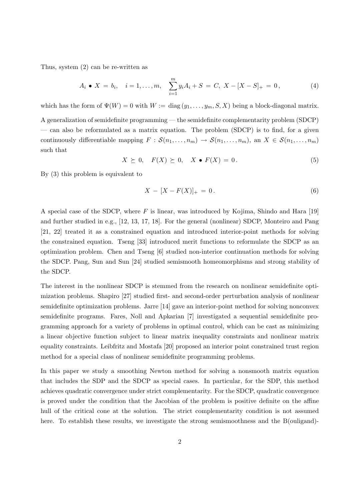Thus, system (2) can be re-written as

$$
A_i \bullet X = b_i, \quad i = 1, ..., m, \quad \sum_{i=1}^{m} y_i A_i + S = C, \quad X - [X - S]_+ = 0,
$$
 (4)

which has the form of  $\Psi(W) = 0$  with  $W := \text{diag}(y_1, \ldots, y_m, S, X)$  being a block-diagonal matrix. A generalization of semidefinite programming — the semidefinite complementarity problem (SDCP) — can also be reformulated as a matrix equation. The problem (SDCP) is to find, for a given continuously differentiable mapping  $F : \mathcal{S}(n_1, \ldots, n_m) \to \mathcal{S}(n_1, \ldots, n_m)$ , an  $X \in \mathcal{S}(n_1, \ldots, n_m)$ such that

$$
X \succeq 0, \quad F(X) \succeq 0, \quad X \bullet F(X) = 0. \tag{5}
$$

By (3) this problem is equivalent to

$$
X - [X - F(X)]_{+} = 0.
$$
\n(6)

A special case of the SDCP, where  $F$  is linear, was introduced by Kojima, Shindo and Hara [19] and further studied in e.g., [12, 13, 17, 18]. For the general (nonlinear) SDCP, Monteiro and Pang [21, 22] treated it as a constrained equation and introduced interior-point methods for solving the constrained equation. Tseng [33] introduced merit functions to reformulate the SDCP as an optimization problem. Chen and Tseng [6] studied non-interior continuation methods for solving the SDCP. Pang, Sun and Sun [24] studied semismooth homeomorphisms and strong stability of the SDCP.

The interest in the nonlinear SDCP is stemmed from the research on nonlinear semidefinite optimization problems. Shapiro [27] studied first- and second-order perturbation analysis of nonlinear semidefinite optimization problems. Jarre [14] gave an interior-point method for solving nonconvex semidefinite programs. Fares, Noll and Apkarian [7] investigated a sequential semidefinite programming approach for a variety of problems in optimal control, which can be cast as minimizing a linear objective function subject to linear matrix inequality constraints and nonlinear matrix equality constraints. Leibfritz and Mostafa [20] proposed an interior point constrained trust region method for a special class of nonlinear semidefinite programming problems.

In this paper we study a smoothing Newton method for solving a nonsmooth matrix equation that includes the SDP and the SDCP as special cases. In particular, for the SDP, this method achieves quadratic convergence under strict complementarity. For the SDCP, quadratic convergence is proved under the condition that the Jacobian of the problem is positive definite on the affine hull of the critical cone at the solution. The strict complementarity condition is not assumed here. To establish these results, we investigate the strong semismoothness and the B(ouligand)-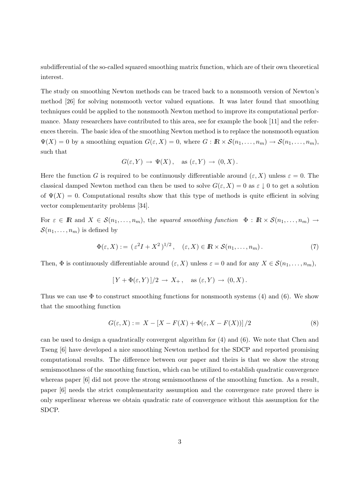subdifferential of the so-called squared smoothing matrix function, which are of their own theoretical interest.

The study on smoothing Newton methods can be traced back to a nonsmooth version of Newton's method [26] for solving nonsmooth vector valued equations. It was later found that smoothing techniques could be applied to the nonsmooth Newton method to improve its computational performance. Many researchers have contributed to this area, see for example the book [11] and the references therein. The basic idea of the smoothing Newton method is to replace the nonsmooth equation  $\Psi(X) = 0$  by a smoothing equation  $G(\varepsilon, X) = 0$ , where  $G: \mathbb{R} \times \mathcal{S}(n_1, \ldots, n_m) \to \mathcal{S}(n_1, \ldots, n_m)$ , such that

$$
G(\varepsilon, Y) \to \Psi(X), \text{ as } (\varepsilon, Y) \to (0, X).
$$

Here the function G is required to be continuously differentiable around  $(\varepsilon, X)$  unless  $\varepsilon = 0$ . The classical damped Newton method can then be used to solve  $G(\varepsilon, X) = 0$  as  $\varepsilon \perp 0$  to get a solution of  $\Psi(X) = 0$ . Computational results show that this type of methods is quite efficient in solving vector complementarity problems [34].

For  $\varepsilon \in \mathbb{R}$  and  $X \in \mathcal{S}(n_1, \ldots, n_m)$ , the squared smoothing function  $\Phi : \mathbb{R} \times \mathcal{S}(n_1, \ldots, n_m) \to$  $\mathcal{S}(n_1, \ldots, n_m)$  is defined by

$$
\Phi(\varepsilon, X) := (\varepsilon^2 I + X^2)^{1/2}, \quad (\varepsilon, X) \in \mathbb{R} \times \mathcal{S}(n_1, \dots, n_m). \tag{7}
$$

Then,  $\Phi$  is continuously differentiable around  $(\varepsilon, X)$  unless  $\varepsilon = 0$  and for any  $X \in \mathcal{S}(n_1, \ldots, n_m)$ ,

$$
[Y + \Phi(\varepsilon, Y)]/2 \to X_+, \text{ as } (\varepsilon, Y) \to (0, X).
$$

Thus we can use  $\Phi$  to construct smoothing functions for nonsmooth systems (4) and (6). We show that the smoothing function

$$
G(\varepsilon, X) := X - [X - F(X) + \Phi(\varepsilon, X - F(X))]/2 \tag{8}
$$

can be used to design a quadratically convergent algorithm for (4) and (6). We note that Chen and Tseng [6] have developed a nice smoothing Newton method for the SDCP and reported promising computational results. The difference between our paper and theirs is that we show the strong semismoothness of the smoothing function, which can be utilized to establish quadratic convergence whereas paper [6] did not prove the strong semismoothness of the smoothing function. As a result, paper [6] needs the strict complementarity assumption and the convergence rate proved there is only superlinear whereas we obtain quadratic rate of convergence without this assumption for the SDCP.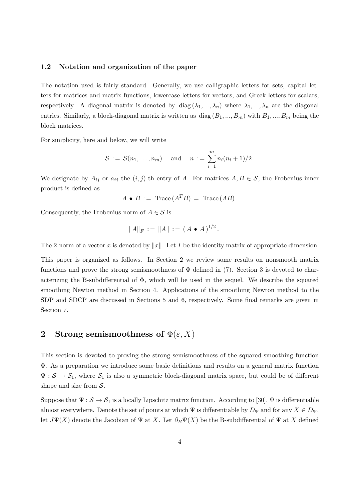#### 1.2 Notation and organization of the paper

The notation used is fairly standard. Generally, we use calligraphic letters for sets, capital letters for matrices and matrix functions, lowercase letters for vectors, and Greek letters for scalars, respectively. A diagonal matrix is denoted by diag  $(\lambda_1, ..., \lambda_n)$  where  $\lambda_1, ..., \lambda_n$  are the diagonal entries. Similarly, a block-diagonal matrix is written as  $diag(B_1, ..., B_m)$  with  $B_1, ..., B_m$  being the block matrices.

For simplicity, here and below, we will write

$$
S := S(n_1,...,n_m)
$$
 and  $n := \sum_{i=1}^m n_i(n_i+1)/2$ .

We designate by  $A_{ij}$  or  $a_{ij}$  the  $(i, j)$ -th entry of A. For matrices  $A, B \in \mathcal{S}$ , the Frobenius inner product is defined as

$$
A \bullet B := \text{Trace}(A^T B) = \text{Trace}(AB).
$$

Consequently, the Frobenius norm of  $A \in \mathcal{S}$  is

$$
||A||_F := ||A|| := (A \bullet A)^{1/2}.
$$

The 2-norm of a vector x is denoted by  $||x||$ . Let I be the identity matrix of appropriate dimension.

This paper is organized as follows. In Section 2 we review some results on nonsmooth matrix functions and prove the strong semismoothness of  $\Phi$  defined in (7). Section 3 is devoted to characterizing the B-subdifferential of  $\Phi$ , which will be used in the sequel. We describe the squared smoothing Newton method in Section 4. Applications of the smoothing Newton method to the SDP and SDCP are discussed in Sections 5 and 6, respectively. Some final remarks are given in Section 7.

## 2 Strong semismoothness of  $\Phi(\varepsilon, X)$

This section is devoted to proving the strong semismoothness of the squared smoothing function Φ. As a preparation we introduce some basic definitions and results on a general matrix function  $\Psi: \mathcal{S} \to \mathcal{S}_1$ , where  $\mathcal{S}_1$  is also a symmetric block-diagonal matrix space, but could be of different shape and size from  $\mathcal{S}$ .

Suppose that  $\Psi : \mathcal{S} \to \mathcal{S}_1$  is a locally Lipschitz matrix function. According to [30],  $\Psi$  is differentiable almost everywhere. Denote the set of points at which  $\Psi$  is differentiable by  $D_{\Psi}$  and for any  $X \in D_{\Psi}$ , let  $J\Psi(X)$  denote the Jacobian of  $\Psi$  at X. Let  $\partial_B \Psi(X)$  be the B-subdifferential of  $\Psi$  at X defined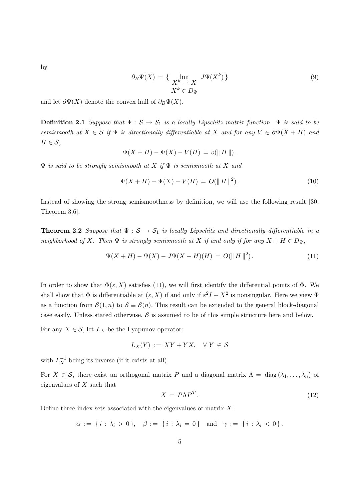by

$$
\partial_B \Psi(X) = \{ \lim_{\substack{X^k \to X \\ X^k \in D_{\Psi}}} J \Psi(X^k) \}
$$
\n(9)

and let  $\partial \Psi(X)$  denote the convex hull of  $\partial_B \Psi(X)$ .

**Definition 2.1** Suppose that  $\Psi : \mathcal{S} \to \mathcal{S}_1$  is a locally Lipschitz matrix function.  $\Psi$  is said to be semismooth at  $X \in \mathcal{S}$  if  $\Psi$  is directionally differentiable at X and for any  $V \in \partial \Psi(X + H)$  and  $H \in \mathcal{S}$ ,

$$
\Psi(X + H) - \Psi(X) - V(H) = o(||H||).
$$

 $\Psi$  is said to be strongly semismooth at X if  $\Psi$  is semismooth at X and

$$
\Psi(X+H) - \Psi(X) - V(H) = O(||H||^2). \tag{10}
$$

Instead of showing the strong semismoothness by definition, we will use the following result [30, Theorem 3.6].

**Theorem 2.2** Suppose that  $\Psi : \mathcal{S} \to \mathcal{S}_1$  is locally Lipschitz and directionally differentiable in a neighborhood of X. Then  $\Psi$  is strongly semismooth at X if and only if for any  $X + H \in D_{\Psi}$ ,

$$
\Psi(X+H) - \Psi(X) - J\Psi(X+H)(H) = O(||H||^2). \tag{11}
$$

In order to show that  $\Phi(\varepsilon, X)$  satisfies (11), we will first identify the differential points of  $\Phi$ . We shall show that  $\Phi$  is differentiable at  $(\varepsilon, X)$  if and only if  $\varepsilon^2 I + X^2$  is nonsingular. Here we view  $\Phi$ as a function from  $\mathcal{S}(1,n)$  to  $\mathcal{S} \equiv \mathcal{S}(n)$ . This result can be extended to the general block-diagonal case easily. Unless stated otherwise,  $S$  is assumed to be of this simple structure here and below.

For any  $X \in \mathcal{S}$ , let  $L_X$  be the Lyapunov operator:

$$
L_X(Y) := XY + YX, \quad \forall Y \in \mathcal{S}
$$

with  $L_X^{-1}$  being its inverse (if it exists at all).

For  $X \in \mathcal{S}$ , there exist an orthogonal matrix P and a diagonal matrix  $\Lambda = \text{diag}(\lambda_1, \ldots, \lambda_n)$  of eigenvalues of X such that

$$
X = P\Lambda P^T. \tag{12}
$$

Define three index sets associated with the eigenvalues of matrix  $X$ :

$$
\alpha := \{ i : \lambda_i > 0 \}, \quad \beta := \{ i : \lambda_i = 0 \} \quad \text{and} \quad \gamma := \{ i : \lambda_i < 0 \}.
$$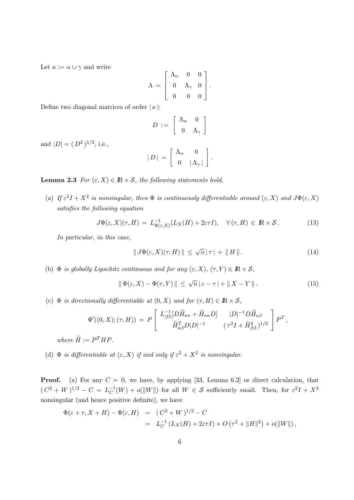Let  $\kappa := \alpha \cup \gamma$  and write

$$
\Lambda = \left[ \begin{array}{ccc} \Lambda_{\alpha} & 0 & 0 \\ 0 & \Lambda_{\gamma} & 0 \\ 0 & 0 & 0 \end{array} \right].
$$

Define two diagonal matrices of order  $|\kappa|$ :

$$
D := \left[ \begin{array}{cc} \Lambda_{\alpha} & 0 \\ 0 & \Lambda_{\gamma} \end{array} \right]
$$

and  $|D| = (D^2)^{1/2}$ , i.e.,

$$
|D| = \left[\begin{array}{cc} \Lambda_{\alpha} & 0 \\ 0 & |\Lambda_{\gamma}| \end{array}\right].
$$

**Lemma 2.3** For  $(\varepsilon, X) \in \mathbb{R} \times \mathcal{S}$ , the following statements hold.

(a) If  $\varepsilon^2 I + X^2$  is nonsingular, then  $\Phi$  is continuously differentiable around  $(\varepsilon, X)$  and  $J\Phi(\varepsilon, X)$ satisfies the following equation

$$
J\Phi(\varepsilon, X)(\tau, H) = L_{\Phi(\varepsilon, X)}^{-1}(L_X(H) + 2\varepsilon\tau I), \quad \forall (\tau, H) \in \mathbb{R} \times \mathcal{S}.
$$
 (13)

In particular, in this case,

$$
\|J\Phi(\varepsilon, X)(\tau, H)\| \le \sqrt{n} |\tau| + \|H\|.
$$
 (14)

(b)  $\Phi$  is globally Lipschitz continuous and for any  $(\varepsilon, X)$ ,  $(\tau, Y) \in \mathbb{R} \times S$ ,

$$
\|\Phi(\varepsilon, X) - \Phi(\tau, Y)\| \le \sqrt{n} |\varepsilon - \tau| + \|X - Y\|.
$$
 (15)

(c)  $\Phi$  is directionally differentiable at  $(0, X)$  and for  $(\tau, H) \in \mathbb{R} \times S$ ,

$$
\Phi'((0,X);(\tau,H)) = P\left[\begin{array}{cc} L_{|D|}^{-1}[D\widetilde{H}_{\kappa\kappa} + \widetilde{H}_{\kappa\kappa}D] & |D|^{-1}D\widetilde{H}_{\kappa\beta} \\ \widetilde{H}_{\kappa\beta}^T D|D|^{-1} & (\tau^2 I + \widetilde{H}_{\beta\beta}^2)^{1/2} \end{array}\right]P^T,
$$

where  $\widetilde{H} := P^T H P$ .

(d)  $\Phi$  is differentiable at  $(\varepsilon, X)$  if and only if  $\varepsilon^2 + X^2$  is nonsingular.

**Proof.** (a) For any  $C \succ 0$ , we have, by applying [33, Lemma 6.2] or direct calculation, that  $(C^2 + W)^{1/2} - C = L_C^{-1}(W) + o(||W||)$  for all  $W \in \mathcal{S}$  sufficiently small. Then, for  $\varepsilon^2 I + X^2$ nonsingular (and hence positive definite), we have

$$
\Phi(\varepsilon + \tau, X + H) - \Phi(\varepsilon, H) = (C^2 + W)^{1/2} - C
$$
  
=  $L_C^{-1} (L_X(H) + 2\varepsilon\tau I) + O(\tau^2 + ||H||^2) + o(||W||),$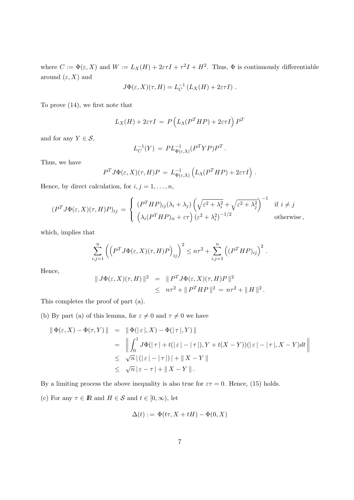where  $C := \Phi(\varepsilon, X)$  and  $W := L_X(H) + 2\varepsilon\tau I + \tau^2 I + H^2$ . Thus,  $\Phi$  is continuously differentiable around  $(\varepsilon, X)$  and

$$
J\Phi(\varepsilon, X)(\tau, H) = L_C^{-1}(L_X(H) + 2\varepsilon\tau I).
$$

To prove (14), we first note that

$$
L_X(H) + 2\varepsilon\tau I = P\left(L_\Lambda(P^T H P) + 2\varepsilon\tau I\right)P^T
$$

and for any  $Y \in \mathcal{S}$ ,

$$
L_C^{-1}(Y) = PL_{\Phi(\varepsilon,\Lambda)}^{-1}(P^TYP)P^T.
$$

Thus, we have

$$
P^T J\Phi(\varepsilon, X)(\tau, H)P = L_{\Phi(\varepsilon, \Lambda)}^{-1} \left( L_{\Lambda}(P^T H P) + 2\varepsilon \tau I \right).
$$

Hence, by direct calculation, for  $i, j = 1, \ldots, n$ ,

$$
(P^T J \Phi(\varepsilon, X)(\tau, H) P)_{ij} = \begin{cases} (P^T H P)_{ij} (\lambda_i + \lambda_j) \left( \sqrt{\varepsilon^2 + \lambda_i^2} + \sqrt{\varepsilon^2 + \lambda_j^2} \right)^{-1} & \text{if } i \neq j \\ (\lambda_i (P^T H P)_{ii} + \varepsilon \tau) \left( \varepsilon^2 + \lambda_i^2 \right)^{-1/2} & \text{otherwise} \end{cases}
$$

which, implies that

$$
\sum_{i,j=1}^n \left( \left( P^T J \Phi(\varepsilon, X)(\tau, H) P \right)_{ij} \right)^2 \leq n\tau^2 + \sum_{i,j=1}^n \left( (P^T H P)_{ij} \right)^2.
$$

Hence,

$$
|| J\Phi(\varepsilon, X)(\tau, H) ||^{2} = || P^{T} J\Phi(\varepsilon, X)(\tau, H)P ||^{2}
$$
  
 
$$
\leq n\tau^{2} + || P^{T} H P ||^{2} = n\tau^{2} + || H ||^{2}.
$$

This completes the proof of part (a).

(b) By part (a) of this lemma, for  $\varepsilon \neq 0$  and  $\tau \neq 0$  we have

$$
\begin{array}{rcl} \|\Phi(\varepsilon, X) - \Phi(\tau, Y)\| & = & \|\Phi(|\varepsilon|, X) - \Phi(|\tau|, Y)\| \\ \\ & = & \left\|\int_0^1 J\Phi(|\tau| + t(|\varepsilon| - |\tau|), Y + t(X - Y))(|\varepsilon| - |\tau|, X - Y)dt\right\| \\ \\ & \leq & \sqrt{n} \|\varepsilon - |\tau| + \|X - Y\| \\ \\ & \leq & \sqrt{n} \|\varepsilon - \tau| + \|X - Y\|\,. \end{array}
$$

By a limiting process the above inequality is also true for  $\varepsilon \tau = 0$ . Hence, (15) holds.

(c) For any  $\tau \in \mathbb{R}$  and  $H \in \mathcal{S}$  and  $t \in [0, \infty)$ , let

$$
\Delta(t) := \Phi(t\tau, X + tH) - \Phi(0, X)
$$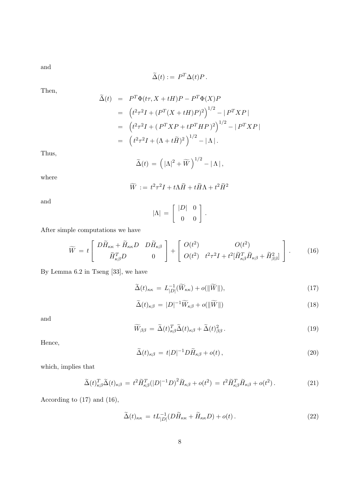and

$$
\widetilde{\Delta}(t) := P^T \Delta(t) P.
$$

Then,

$$
\tilde{\Delta}(t) = P^T \Phi(t\tau, X + tH) P - P^T \Phi(X) P \n= \left( t^2 \tau^2 I + (P^T (X + tH) P)^2 \right)^{1/2} - |P^T X P| \n= \left( t^2 \tau^2 I + (P^T X P + t P^T H P)^2 \right)^{1/2} - |P^T X P| \n= \left( t^2 \tau^2 I + (\Lambda + t \tilde{H})^2 \right)^{1/2} - |\Lambda|.
$$

Thus,

$$
\widetilde{\Delta}(t) = \left( |\Lambda|^2 + \widetilde{W} \right)^{1/2} - |\Lambda|,
$$

where

$$
\widetilde{W} := t^2 \tau^2 I + t\Lambda \widetilde{H} + t \widetilde{H} \Lambda + t^2 \widetilde{H}^2
$$

and

$$
|\Lambda| = \left[\begin{array}{cc} |D| & 0 \\ 0 & 0 \end{array}\right].
$$

After simple computations we have

$$
\widetilde{W} = t \begin{bmatrix} D\widetilde{H}_{\kappa\kappa} + \widetilde{H}_{\kappa\kappa}D & D\widetilde{H}_{\kappa\beta} \\ \widetilde{H}_{\kappa\beta}^T D & 0 \end{bmatrix} + \begin{bmatrix} O(t^2) & O(t^2) \\ O(t^2) & t^2 \tau^2 I + t^2 [\widetilde{H}_{\kappa\beta}^T \widetilde{H}_{\kappa\beta} + \widetilde{H}_{\beta\beta}^2] \end{bmatrix} . \tag{16}
$$

By Lemma 6.2 in Tseng [33], we have

$$
\widetilde{\Delta}(t)_{\kappa\kappa} = L_{|D|}^{-1}(\widetilde{W}_{\kappa\kappa}) + o(\|\widetilde{W}\|),\tag{17}
$$

$$
\widetilde{\Delta}(t)_{\kappa\beta} = |D|^{-1} \widetilde{W}_{\kappa\beta} + o(||\widetilde{W}||)
$$
\n(18)

and

$$
\widetilde{W}_{\beta\beta} = \widetilde{\Delta}(t)_{\kappa\beta}^T \widetilde{\Delta}(t)_{\kappa\beta} + \widetilde{\Delta}(t)_{\beta\beta}^2. \tag{19}
$$

Hence,

$$
\widetilde{\Delta}(t)_{\kappa\beta} = t|D|^{-1}D\widetilde{H}_{\kappa\beta} + o(t),\tag{20}
$$

which, implies that

$$
\widetilde{\Delta}(t)_{\kappa\beta}^T \widetilde{\Delta}(t)_{\kappa\beta} = t^2 \widetilde{H}_{\kappa\beta}^T (|D|^{-1} D)^2 \widetilde{H}_{\kappa\beta} + o(t^2) = t^2 \widetilde{H}_{\kappa\beta}^T \widetilde{H}_{\kappa\beta} + o(t^2).
$$
\n(21)

According to (17) and (16),

$$
\widetilde{\Delta}(t)_{\kappa\kappa} = tL_{|D|}^{-1}(D\widetilde{H}_{\kappa\kappa} + \widetilde{H}_{\kappa\kappa}D) + o(t).
$$
\n(22)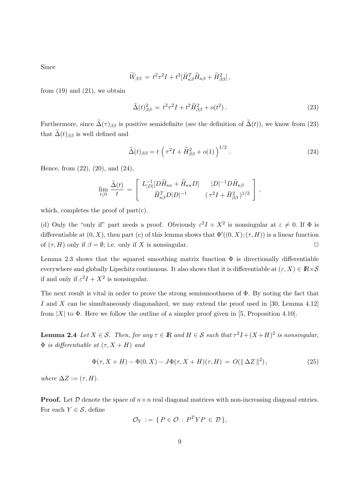Since

$$
\widetilde{W}_{\beta\beta} = t^2 \tau^2 I + t^2 [\widetilde{H}_{\kappa\beta}^T \widetilde{H}_{\kappa\beta} + \widetilde{H}_{\beta\beta}^2],
$$

from  $(19)$  and  $(21)$ , we obtain

$$
\widetilde{\Delta}(t)_{\beta\beta}^2 = t^2 \tau^2 I + t^2 \widetilde{H}_{\beta\beta}^2 + o(t^2).
$$
\n(23)

Furthermore, since  $\tilde{\Delta}(\tau)_{\beta\beta}$  is positive semidefinite (see the definition of  $\tilde{\Delta}(t)$ ), we know from (23) that  $\tilde{\Delta}(t)_{\beta\beta}$  is well defined and

$$
\tilde{\Delta}(t)_{\beta\beta} = t \left(\tau^2 I + \tilde{H}^2_{\beta\beta} + o(1)\right)^{1/2}.
$$
\n(24)

Hence, from (22), (20), and (24),

$$
\lim_{t\downarrow 0}\frac{\tilde{\Delta}(t)}{t} = \begin{bmatrix} L_{|D|}^{-1}[D\tilde{H}_{\kappa\kappa} + \tilde{H}_{\kappa\kappa}D] & |D|^{-1}D\tilde{H}_{\kappa\beta} \\ \tilde{H}_{\kappa\beta}^T D|D|^{-1} & (\tau^2 I + \tilde{H}_{\beta\beta}^2)^{1/2} \end{bmatrix},
$$

which, completes the proof of  $part(c)$ .

(d) Only the "only if" part needs a proof. Obviously  $\varepsilon^2 I + X^2$  is nonsingular at  $\varepsilon \neq 0$ . If  $\Phi$  is differentiable at  $(0, X)$ , then part (c) of this lemma shows that  $\Phi'((0, X); (\tau, H))$  is a linear function of  $(\tau, H)$  only if  $\beta = \emptyset$ ; i.e. only if X is nonsingular.

Lemma 2.3 shows that the squared smoothing matrix function  $\Phi$  is directionally differentiable everywhere and globally Lipschitz continuous. It also shows that it is differentiable at  $(\varepsilon, X) \in \mathbb{R} \times \mathcal{S}$ if and only if  $\varepsilon^2 I + X^2$  is nonsingular.

The next result is vital in order to prove the strong semismoothness of Φ. By noting the fact that I and X can be simultaneously diagonalized, we may extend the proof used in [30, Lemma 4.12] from |X| to  $\Phi$ . Here we follow the outline of a simpler proof given in [5, Proposition 4.10].

**Lemma 2.4** Let  $X \in \mathcal{S}$ . Then, for any  $\tau \in \mathbb{R}$  and  $H \in \mathcal{S}$  such that  $\tau^2 I + (X + H)^2$  is nonsingular,  $\Phi$  is differentiable at  $(\tau, X + H)$  and

$$
\Phi(\tau, X + H) - \Phi(0, X) - J\Phi(\tau, X + H)(\tau, H) = O(||\Delta Z||^2),
$$
\n(25)

where  $\Delta Z := (\tau, H)$ .

**Proof.** Let  $D$  denote the space of  $n \times n$  real diagonal matrices with non-increasing diagonal entries. For each  $Y \in \mathcal{S}$ , define

$$
\mathcal{O}_Y := \{ P \in \mathcal{O} : P^T Y P \in \mathcal{D} \},
$$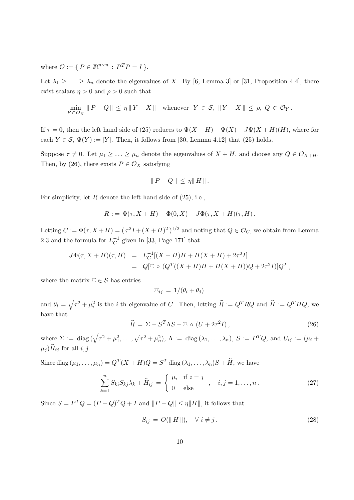where  $\mathcal{O} := \{ P \in \mathbb{R}^{n \times n} : P^T P = I \}.$ 

Let  $\lambda_1 \geq \ldots \geq \lambda_n$  denote the eigenvalues of X. By [6, Lemma 3] or [31, Proposition 4.4], there exist scalars  $\eta > 0$  and  $\rho > 0$  such that

$$
\min_{P \in \mathcal{O}_X} \|P - Q\| \le \eta \|Y - X\| \quad \text{whenever} \quad Y \in \mathcal{S}, \|Y - X\| \le \rho, \ Q \in \mathcal{O}_Y.
$$

If  $\tau = 0$ , then the left hand side of (25) reduces to  $\Psi(X + H) - \Psi(X) - J\Psi(X + H)(H)$ , where for each  $Y \in \mathcal{S}, \Psi(Y) := |Y|$ . Then, it follows from [30, Lemma 4.12] that (25) holds.

Suppose  $\tau \neq 0$ . Let  $\mu_1 \geq \ldots \geq \mu_n$  denote the eigenvalues of  $X + H$ , and choose any  $Q \in \mathcal{O}_{X+H}$ . Then, by (26), there exists  $P \in \mathcal{O}_X$  satisfying

$$
\|P-Q\| \leq \eta \|H\|.
$$

For simplicity, let  $R$  denote the left hand side of  $(25)$ , i.e.,

$$
R := \Phi(\tau, X + H) - \Phi(0, X) - J\Phi(\tau, X + H)(\tau, H).
$$

Letting  $C := \Phi(\tau, X + H) = (\tau^2 I + (X + H)^2)^{1/2}$  and noting that  $Q \in \mathcal{O}_C$ , we obtain from Lemma 2.3 and the formula for  $L_C^{-1}$  given in [33, Page 171] that

$$
J\Phi(\tau, X + H)(\tau, H) = L_C^{-1}[(X + H)H + H(X + H) + 2\tau^2 I]
$$
  
=  $Q[\Xi \circ (Q^T((X + H)H + H(X + H))Q + 2\tau^2 I)]Q^T$ ,

where the matrix  $\Xi \in \mathcal{S}$  has entries

$$
\Xi_{ij} = 1/(\theta_i + \theta_j)
$$

and  $\theta_i = \sqrt{\tau^2 + \mu_i^2}$  is the *i*-th eigenvalue of C. Then, letting  $\widetilde{R} := Q^T R Q$  and  $\widetilde{H} := Q^T H Q$ , we have that

$$
\widetilde{R} = \Sigma - S^T \Lambda S - \Xi \circ (U + 2\tau^2 I), \qquad (26)
$$

where  $\Sigma := \text{diag}\left(\sqrt{\tau^2 + \mu_1^2}, \ldots, \sqrt{\tau^2 + \mu_n^2}\right)$ ,  $\Lambda := \text{diag}\left(\lambda_1, \ldots, \lambda_n\right)$ ,  $S := P^T Q$ , and  $U_{ij} := (\mu_i + \mu_i^2)$  $\mu_j$ ) $H_{ij}$  for all  $i, j$ .

Since diag  $(\mu_1, \ldots, \mu_n) = Q^T(X + H)Q = S^T$  diag  $(\lambda_1, \ldots, \lambda_n)S + \tilde{H}$ , we have

$$
\sum_{k=1}^{n} S_{ki} S_{kj} \lambda_k + \widetilde{H}_{ij} = \begin{cases} \mu_i & \text{if } i = j \\ 0 & \text{else} \end{cases}, \quad i, j = 1, \dots, n. \tag{27}
$$

Since  $S = P^T Q = (P - Q)^T Q + I$  and  $||P - Q|| \le \eta ||H||$ , it follows that

$$
S_{ij} = O(||H||), \quad \forall i \neq j.
$$
\n
$$
(28)
$$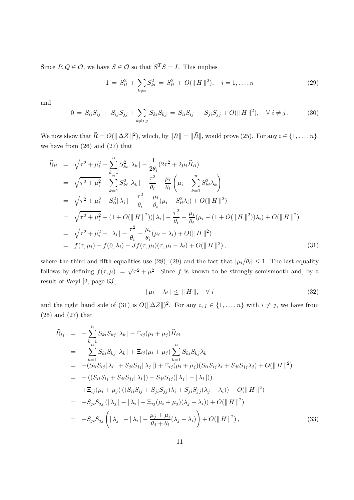Since  $P, Q \in \mathcal{O}$ , we have  $S \in \mathcal{O}$  so that  $S^{T}S = I$ . This implies

$$
1 = S_{ii}^2 + \sum_{k \neq i} S_{ki}^2 = S_{ii}^2 + O(\|H\|^2), \quad i = 1, ..., n
$$
 (29)

and

$$
0 = S_{ii}S_{ij} + S_{ij}S_{jj} + \sum_{k \neq i,j} S_{ki}S_{kj} = S_{ii}S_{ij} + S_{ji}S_{jj} + O(\|H\|^2), \quad \forall \ i \neq j. \tag{30}
$$

We now show that  $\widetilde{R} = O(\|\Delta Z\|^2)$ , which, by  $\|R\| = \|\widetilde{R}\|$ , would prove (25). For any  $i \in \{1, ..., n\}$ , we have from (26) and (27) that

$$
\tilde{R}_{ii} = \sqrt{\tau^2 + \mu_i^2} - \sum_{k=1}^n S_{ki}^2 |\lambda_k| - \frac{1}{2\theta_i} (2\tau^2 + 2\mu_i \tilde{H}_{ii})
$$
\n
$$
= \sqrt{\tau^2 + \mu_i^2} - \sum_{k=1}^n S_{ki}^2 |\lambda_k| - \frac{\tau^2}{\theta_i} - \frac{\mu_i}{\theta_i} \left( \mu_i - \sum_{k=1}^n S_{ki}^2 \lambda_k \right)
$$
\n
$$
= \sqrt{\tau^2 + \mu_i^2} - S_{ii}^2 |\lambda_i| - \frac{\tau^2}{\theta_i} - \frac{\mu_i}{\theta_i} (\mu_i - S_{ii}^2 \lambda_i) + O(\Vert H \Vert^2)
$$
\n
$$
= \sqrt{\tau^2 + \mu_i^2} - (1 + O(\Vert H \Vert^2)) |\lambda_i| - \frac{\tau^2}{\theta_i} - \frac{\mu_i}{\theta_i} (\mu_i - (1 + O(\Vert H \Vert^2)) \lambda_i) + O(\Vert H \Vert^2)
$$
\n
$$
= \sqrt{\tau^2 + \mu_i^2} - |\lambda_i| - \frac{\tau^2}{\theta_i} - \frac{\mu_i}{\theta_i} (\mu_i - \lambda_i) + O(\Vert H \Vert^2)
$$
\n
$$
= f(\tau, \mu_i) - f(0, \lambda_i) - Jf(\tau, \mu_i) (\tau, \mu_i - \lambda_i) + O(\Vert H \Vert^2), \tag{31}
$$

where the third and fifth equalities use (28), (29) and the fact that  $|\mu_i/\theta_i| \leq 1$ . The last equality follows by defining  $f(\tau,\mu) := \sqrt{\tau^2 + \mu^2}$ . Since f is known to be strongly semismooth and, by a result of Weyl [2, page 63],

$$
|\mu_i - \lambda_i| \le ||H||, \quad \forall \ i \tag{32}
$$

and the right hand side of (31) is  $O(||\Delta Z||)^2$ . For any  $i, j \in \{1, ..., n\}$  with  $i \neq j$ , we have from (26) and (27) that

$$
\tilde{R}_{ij} = -\sum_{k=1}^{n} S_{ki} S_{kj} |\lambda_k| - \Xi_{ij} (\mu_i + \mu_j) \tilde{H}_{ij}
$$
\n
$$
= -\sum_{k=1}^{n} S_{ki} S_{kj} |\lambda_k| + \Xi_{ij} (\mu_i + \mu_j) \sum_{k=1}^{n} S_{ki} S_{kj} \lambda_k
$$
\n
$$
= - (S_{ii} S_{ij} |\lambda_i| + S_{ji} S_{jj} |\lambda_j|) + \Xi_{ij} (\mu_i + \mu_j) (S_{ii} S_{ij} \lambda_i + S_{ji} S_{jj} \lambda_j) + O(||H||^2)
$$
\n
$$
= - ((S_{ii} S_{ij} + S_{ji} S_{jj} |\lambda_i|) + S_{ji} S_{jj} (|\lambda_j| - |\lambda_i|))
$$
\n
$$
+ \Xi_{ij} (\mu_i + \mu_j) ( (S_{ii} S_{ij} + S_{ji} S_{jj}) \lambda_i + S_{ji} S_{jj} (\lambda_j - \lambda_i)) + O(||H||^2)
$$
\n
$$
= -S_{ji} S_{jj} (|\lambda_j| - |\lambda_i| - \Xi_{ij} (\mu_i + \mu_j) (\lambda_j - \lambda_i)) + O(||H||^2)
$$
\n
$$
= -S_{ji} S_{jj} \left( |\lambda_j| - |\lambda_i| - \frac{\mu_j + \mu_i}{\theta_j + \theta_i} (\lambda_j - \lambda_i) \right) + O(||H||^2), \qquad (33)
$$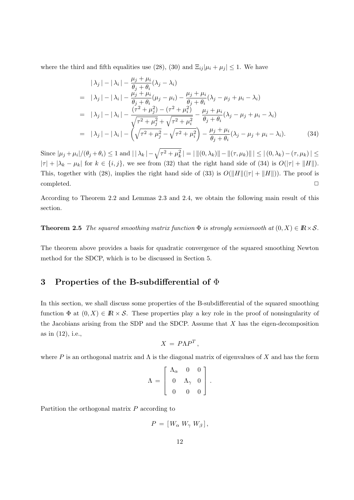where the third and fifth equalities use (28), (30) and  $\Xi_{ij}|\mu_i + \mu_j| \leq 1$ . We have

$$
|\lambda_j| - |\lambda_i| - \frac{\mu_j + \mu_i}{\theta_j + \theta_i} (\lambda_j - \lambda_i)
$$
  
=  $|\lambda_j| - |\lambda_i| - \frac{\mu_j + \mu_i}{\theta_j + \theta_i} (\mu_j - \mu_i) - \frac{\mu_j + \mu_i}{\theta_j + \theta_i} (\lambda_j - \mu_j + \mu_i - \lambda_i)$   
=  $|\lambda_j| - |\lambda_i| - \frac{(\tau^2 + \mu_j^2) - (\tau^2 + \mu_i^2)}{\sqrt{\tau^2 + \mu_j^2} + \sqrt{\tau^2 + \mu_i^2}} - \frac{\mu_j + \mu_i}{\theta_j + \theta_i} (\lambda_j - \mu_j + \mu_i - \lambda_i)$   
=  $|\lambda_j| - |\lambda_i| - \left(\sqrt{\tau^2 + \mu_j^2} - \sqrt{\tau^2 + \mu_i^2}\right) - \frac{\mu_j + \mu_i}{\theta_j + \theta_i} (\lambda_j - \mu_j + \mu_i - \lambda_i).$  (34)

Since  $|\mu_j + \mu_i|/(\theta_j + \theta_i) \le 1$  and  $||\lambda_k| - \sqrt{\tau^2 + \mu_k^2} = ||(0, \lambda_k)|| - ||(\tau, \mu_k)|| || \le ||(0, \lambda_k) - (\tau, \mu_k)|| \le$  $|\tau| + |\lambda_k - \mu_k|$  for  $k \in \{i, j\}$ , we see from (32) that the right hand side of (34) is  $O(|\tau| + ||H||)$ . This, together with (28), implies the right hand side of (33) is  $O(||H||(|\tau| + ||H||))$ . The proof is  $\Box$ completed.  $\Box$ 

According to Theorem 2.2 and Lemmas 2.3 and 2.4, we obtain the following main result of this section.

**Theorem 2.5** The squared smoothing matrix function  $\Phi$  is strongly semismooth at  $(0, X) \in \mathbb{R} \times \mathcal{S}$ .

The theorem above provides a basis for quadratic convergence of the squared smoothing Newton method for the SDCP, which is to be discussed in Section 5.

## 3 Properties of the B-subdifferential of Φ

In this section, we shall discuss some properties of the B-subdifferential of the squared smoothing function  $\Phi$  at  $(0, X) \in \mathbb{R} \times S$ . These properties play a key role in the proof of nonsingularity of the Jacobians arising from the SDP and the SDCP. Assume that  $X$  has the eigen-decomposition as in (12), i.e.,

$$
X \,=\, P\Lambda P^T\,,
$$

where P is an orthogonal matrix and  $\Lambda$  is the diagonal matrix of eigenvalues of X and has the form

$$
\Lambda = \left[ \begin{array}{ccc} \Lambda_{\alpha} & 0 & 0 \\ 0 & \Lambda_{\gamma} & 0 \\ 0 & 0 & 0 \end{array} \right].
$$

Partition the orthogonal matrix P according to

$$
P = [W_{\alpha} W_{\gamma} W_{\beta}],
$$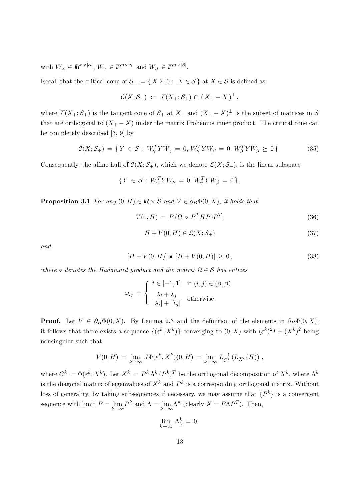with  $W_{\alpha} \in \mathbb{R}^{n \times |\alpha|}, W_{\gamma} \in \mathbb{R}^{n \times |\gamma|}$  and  $W_{\beta} \in \mathbb{R}^{n \times |\beta|}$ .

Recall that the critical cone of  $S_+ := \{ X \succeq 0 : X \in S \}$  at  $X \in S$  is defined as:

$$
\mathcal{C}(X; \mathcal{S}_+) := \mathcal{T}(X_+; \mathcal{S}_+) \cap (X_+ - X)^\perp,
$$

where  $\mathcal{T}(X_+;\mathcal{S}_+)$  is the tangent cone of  $\mathcal{S}_+$  at  $X_+$  and  $(X_+ - X)^{\perp}$  is the subset of matrices in  $\mathcal{S}_$ that are orthogonal to  $(X_{+}-X)$  under the matrix Frobenius inner product. The critical cone can be completely described [3, 9] by

$$
\mathcal{C}(X; \mathcal{S}_+) = \{ Y \in \mathcal{S} : W_\gamma^T Y W_\gamma = 0, W_\gamma^T Y W_\beta = 0, W_\beta^T Y W_\beta \succeq 0 \}.
$$
 (35)

Consequently, the affine hull of  $\mathcal{C}(X; \mathcal{S}_+)$ , which we denote  $\mathcal{L}(X; \mathcal{S}_+)$ , is the linear subspace

$$
\{Y \in \mathcal{S} : W_\gamma^T Y W_\gamma = 0, W_\gamma^T Y W_\beta = 0\}.
$$

**Proposition 3.1** For any  $(0, H) \in \mathbb{R} \times S$  and  $V \in \partial_B \Phi(0, X)$ , it holds that

$$
V(0, H) = P(\Omega \circ P^T H P) P^T,
$$
\n(36)

$$
H + V(0, H) \in \mathcal{L}(X; \mathcal{S}_+) \tag{37}
$$

and

$$
[H - V(0, H)] \bullet [H + V(0, H)] \ge 0, \tag{38}
$$

where ∘ denotes the Hadamard product and the matrix  $\Omega \in \mathcal{S}$  has entries

$$
\omega_{ij} = \begin{cases} t \in [-1, 1] & \text{if } (i, j) \in (\beta, \beta) \\ \frac{\lambda_i + \lambda_j}{|\lambda_i| + |\lambda_j|} & \text{otherwise.} \end{cases}
$$

**Proof.** Let  $V \in \partial_B \Phi(0, X)$ . By Lemma 2.3 and the definition of the elements in  $\partial_B \Phi(0, X)$ , it follows that there exists a sequence  $\{(\varepsilon^k, X^k)\}\)$  converging to  $(0, X)$  with  $(\varepsilon^k)^2 I + (X^k)^2$  being nonsingular such that

$$
V(0, H) = \lim_{k \to \infty} J\Phi(\varepsilon^k, X^k)(0, H) = \lim_{k \to \infty} L_{C^k}^{-1}(L_{X^k}(H)),
$$

where  $C^k := \Phi(\varepsilon^k, X^k)$ . Let  $X^k = P^k \Lambda^k (P^k)^T$  be the orthogonal decomposition of  $X^k$ , where  $\Lambda^k$ is the diagonal matrix of eigenvalues of  $X^k$  and  $P^k$  is a corresponding orthogonal matrix. Without loss of generality, by taking subsequences if necessary, we may assume that  $\{P^k\}$  is a convergent sequence with limit  $P = \lim_{k \to \infty} P^k$  and  $\Lambda = \lim_{k \to \infty} \Lambda^k$  (clearly  $X = P\Lambda P^T$ ). Then,

$$
\lim_{k\to\infty}\Lambda^k_{\beta}\,=\,0\,.
$$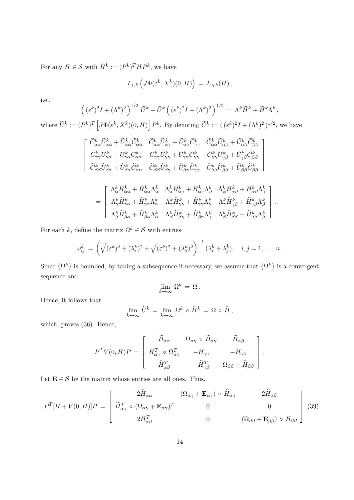For any  $H \in \mathcal{S}$  with  $\widetilde{H}^k := (P^k)^T H P^k$ , we have

$$
L_{C^k}\left(J\Phi(\varepsilon^k,X^k)(0,H)\right) \,=\, L_{X^k}(H)\,,
$$

i.e.,

$$
\left( (\varepsilon^k)^2 I + (\Lambda^k)^2 \right)^{1/2} \tilde{U}^k + \tilde{U}^k \left( (\varepsilon^k)^2 I + (\Lambda^k)^2 \right)^{1/2} = \Lambda^k \tilde{H}^k + \tilde{H}^k \Lambda^k,
$$

where  $\tilde{U}^k := (P^k)^T \left[ J \Phi(\varepsilon^k, X^k) (0, H) \right] P^k$ . By denoting  $\tilde{C}^k := (\varepsilon^k)^2 I + (\Lambda^k)^2 I^{1/2}$ , we have

$$
\begin{bmatrix}\n\tilde{C}_{\alpha\alpha}^{k}\tilde{U}_{\alpha\alpha}^{k} + \tilde{U}_{\alpha\alpha}^{k}\tilde{C}_{\alpha\alpha}^{k} & \tilde{C}_{\alpha\alpha}^{k}\tilde{U}_{\alpha\gamma}^{k} + \tilde{U}_{\alpha\gamma}^{k}\tilde{C}_{\gamma\gamma}^{k} & \tilde{C}_{\alpha\alpha}^{k}\tilde{U}_{\alpha\beta}^{k} + \tilde{U}_{\alpha\beta}^{k}\tilde{C}_{\beta\beta}^{k} \\
\tilde{C}_{\gamma\gamma}^{k}\tilde{U}_{\gamma\alpha}^{k} + \tilde{U}_{\gamma\alpha}^{k}\tilde{C}_{\alpha\alpha}^{k} & \tilde{C}_{\gamma\gamma}^{k}\tilde{U}_{\gamma\gamma}^{k} + \tilde{U}_{\gamma\gamma}^{k}\tilde{C}_{\gamma\gamma}^{k} & \tilde{C}_{\gamma\gamma}^{k}\tilde{U}_{\gamma\beta}^{k} + \tilde{U}_{\gamma\beta}^{k}\tilde{C}_{\beta\beta}^{k} \\
\tilde{C}_{\beta\beta}^{k}\tilde{U}_{\beta\alpha}^{k} + \tilde{U}_{\beta\alpha}^{k}\tilde{C}_{\alpha\alpha}^{k} & \tilde{C}_{\beta\beta}^{k}\tilde{U}_{\beta\gamma}^{k} + \tilde{U}_{\beta\gamma}^{k}\tilde{C}_{\gamma\gamma}^{k} & \tilde{C}_{\beta\beta}^{k}\tilde{U}_{\beta\beta}^{k} + \tilde{U}_{\beta\beta}^{k}\tilde{C}_{\beta\beta}^{k} \\
\end{bmatrix}
$$
\n
$$
= \begin{bmatrix}\n\Lambda_{\alpha}^{k}\tilde{H}_{\alpha\alpha}^{k} + \tilde{H}_{\alpha\alpha}^{k}\Lambda_{\alpha}^{k} & \Lambda_{\alpha}^{k}\tilde{H}_{\alpha\gamma}^{k} + \tilde{H}_{\alpha\gamma}^{k}\Lambda_{\beta}^{k} & \Lambda_{\alpha}^{k}\tilde{H}_{\alpha\beta}^{k} + \tilde{H}_{\alpha\beta}^{k}\Lambda_{\gamma}^{k} \\
\Lambda_{\gamma}^{k}\tilde{H}_{\gamma\alpha}^{k} + \tilde{H}_{\gamma\alpha}^{k}\Lambda_{\alpha}^{k} & \Lambda_{\gamma}^{k}\tilde{H}_{\beta\gamma}^{k} + \tilde{H}_{\gamma\gamma}^{k}\Lambda_{\gamma}
$$

.

.

For each k, define the matrix  $\Omega^k \in \mathcal{S}$  with entries

$$
\omega_{ij}^k = \left(\sqrt{(\varepsilon^k)^2 + (\lambda_i^k)^2} + \sqrt{(\varepsilon^k)^2 + (\lambda_j^k)^2}\right)^{-1} (\lambda_i^k + \lambda_j^k), \quad i, j = 1, \dots, n.
$$

Since  $\{\Omega^k\}$  is bounded, by taking a subsequence if necessary, we assume that  $\{\Omega^k\}$  is a convergent sequence and

$$
\lim_{k \to \infty} \Omega^k = \Omega.
$$

Hence, it follows that

$$
\lim_{k \to \infty} \tilde{U}^k = \lim_{k \to \infty} \Omega^k \circ \tilde{H}^k = \Omega \circ \tilde{H},
$$

which, proves (36). Hence,

$$
P^{T}V(0,H)P = \begin{bmatrix} \tilde{H}_{\alpha\alpha} & \Omega_{\alpha\gamma} \circ \tilde{H}_{\alpha\gamma} & \tilde{H}_{\alpha\beta} \\ \tilde{H}_{\alpha\gamma}^{T} \circ \Omega_{\alpha\gamma}^{T} & -\tilde{H}_{\gamma\gamma} & -\tilde{H}_{\gamma\beta} \\ \tilde{H}_{\alpha\beta}^{T} & -\tilde{H}_{\gamma\beta}^{T} & \Omega_{\beta\beta} \circ \tilde{H}_{\beta\beta} \end{bmatrix}
$$

Let  $\mathbf{E} \in \mathcal{S}$  be the matrix whose entries are all ones. Thus,

$$
P^{T}[H + V(0, H)]P = \begin{bmatrix} 2\tilde{H}_{\alpha\alpha} & (\Omega_{\alpha\gamma} + \mathbf{E}_{\alpha\gamma}) \circ \tilde{H}_{\alpha\gamma} & 2\tilde{H}_{\alpha\beta} \\ \tilde{H}_{\alpha\gamma}^{T} \circ (\Omega_{\alpha\gamma} + \mathbf{E}_{\alpha\gamma})^{T} & 0 & 0 \\ 2\tilde{H}_{\alpha\beta}^{T} & 0 & (\Omega_{\beta\beta} + \mathbf{E}_{\beta\beta}) \circ \tilde{H}_{\beta\beta} \end{bmatrix}
$$
(39)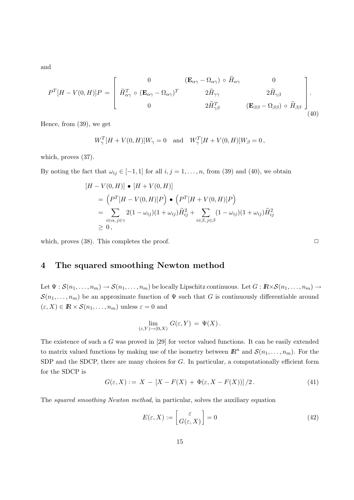and

$$
P^{T}[H - V(0, H)]P = \begin{bmatrix} 0 & (\mathbf{E}_{\alpha\gamma} - \Omega_{\alpha\gamma}) \circ \widetilde{H}_{\alpha\gamma} & 0 \\ \widetilde{H}_{\alpha\gamma}^{T} \circ (\mathbf{E}_{\alpha\gamma} - \Omega_{\alpha\gamma})^{T} & 2\widetilde{H}_{\gamma\gamma} & 2\widetilde{H}_{\gamma\beta} \\ 0 & 2\widetilde{H}_{\gamma\beta}^{T} & (\mathbf{E}_{\beta\beta} - \Omega_{\beta\beta}) \circ \widetilde{H}_{\beta\beta} \end{bmatrix} .
$$
\n(40)

Hence, from (39), we get

$$
W_{\gamma}^{T}[H + V(0, H)]W_{\gamma} = 0
$$
 and  $W_{\gamma}^{T}[H + V(0, H)]W_{\beta} = 0$ ,

which, proves (37).

By noting the fact that  $\omega_{ij} \in [-1, 1]$  for all  $i, j = 1, \ldots, n$ , from (39) and (40), we obtain

$$
[H - V(0, H)] \bullet [H + V(0, H)]
$$
  
= 
$$
(PT[H - V(0, H)]P) \bullet (PT[H + V(0, H)]P)
$$
  
= 
$$
\sum_{i \in \alpha, j \in \gamma} 2(1 - \omega_{ij})(1 + \omega_{ij})\widetilde{H}_{ij}^2 + \sum_{i \in \beta, j \in \beta} (1 - \omega_{ij})(1 + \omega_{ij})\widetilde{H}_{ij}^2
$$
  

$$
\geq 0,
$$

which, proves  $(38)$ . This completes the proof.  $\Box$ 

## 4 The squared smoothing Newton method

Let  $\Psi : \mathcal{S}(n_1,\ldots,n_m) \to \mathcal{S}(n_1,\ldots,n_m)$  be locally Lipschitz continuous. Let  $G : \mathbb{R} \times \mathcal{S}(n_1,\ldots,n_m) \to$  $\mathcal{S}(n_1,\ldots,n_m)$  be an approximate function of  $\Psi$  such that G is continuously differentiable around  $(\varepsilon, X) \in \mathbb{R} \times \mathcal{S}(n_1, \ldots, n_m)$  unless  $\varepsilon = 0$  and

$$
\lim_{(\varepsilon,Y)\to(0,X)} G(\varepsilon,Y) = \Psi(X).
$$

The existence of such a G was proved in [29] for vector valued functions. It can be easily extended to matrix valued functions by making use of the isometry between  $\mathbb{R}^n$  and  $\mathcal{S}(n_1,\ldots,n_m)$ . For the SDP and the SDCP, there are many choices for  $G$ . In particular, a computationally efficient form for the SDCP is

$$
G(\varepsilon, X) := X - [X - F(X) + \Phi(\varepsilon, X - F(X))]/2.
$$
\n(41)

The squared smoothing Newton method, in particular, solves the auxiliary equation

$$
E(\varepsilon, X) := \begin{bmatrix} \varepsilon \\ G(\varepsilon, X) \end{bmatrix} = 0
$$
\n(42)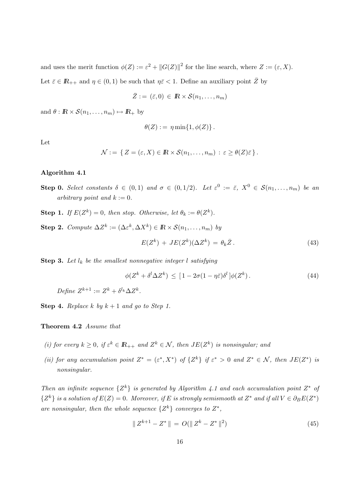and uses the merit function  $\phi(Z) := \varepsilon^2 + ||G(Z)||^2$  for the line search, where  $Z := (\varepsilon, X)$ . Let  $\bar{\varepsilon} \in \mathbb{R}_{++}$  and  $\eta \in (0,1)$  be such that  $\eta \bar{\varepsilon} < 1$ . Define an auxiliary point  $\bar{Z}$  by

$$
\bar{Z} := (\bar{\varepsilon}, 0) \in \mathbb{R} \times \mathcal{S}(n_1, \dots, n_m)
$$

and  $\theta$  :  $\mathbb{R} \times \mathcal{S}(n_1, \ldots, n_m) \mapsto \mathbb{R}_+$  by

$$
\theta(Z):=\,\eta\min\{1,\phi(Z)\}\,.
$$

Let

$$
\mathcal{N} := \{ Z = (\varepsilon, X) \in \mathbb{R} \times \mathcal{S}(n_1, \dots, n_m) : \varepsilon \geq \theta(Z)\overline{\varepsilon} \}.
$$

#### Algorithm 4.1

- **Step 0.** Select constants  $\delta \in (0,1)$  and  $\sigma \in (0,1/2)$ . Let  $\varepsilon^0 := \overline{\varepsilon}$ ,  $X^0 \in \mathcal{S}(n_1,\ldots,n_m)$  be an arbitrary point and  $k := 0$ .
- **Step 1.** If  $E(Z^k) = 0$ , then stop. Otherwise, let  $\theta_k := \theta(Z^k)$ .
- **Step 2.** Compute  $\Delta Z^k := (\Delta \varepsilon^k, \Delta X^k) \in \mathbb{R} \times \mathcal{S}(n_1, \ldots, n_m)$  by  $E(Z^{k}) + JE(Z^{k})(\Delta Z^{k}) = \theta_{k}\bar{Z}.$  (43)

**Step 3.** Let  $l_k$  be the smallest nonnegative integer l satisfying

$$
\phi(Z^k + \delta^l \Delta Z^k) \le [1 - 2\sigma(1 - \eta \bar{\varepsilon})\delta^l] \phi(Z^k). \tag{44}
$$

Define  $Z^{k+1} := Z^k + \delta^{l_k} \Delta Z^k$ .

Step 4. Replace k by  $k + 1$  and go to Step 1.

Theorem 4.2 Assume that

- (i) for every  $k \geq 0$ , if  $\varepsilon^k \in \mathbb{R}_{++}$  and  $Z^k \in \mathcal{N}$ , then  $JE(Z^k)$  is nonsingular; and
- (ii) for any accumulation point  $Z^* = (\varepsilon^*, X^*)$  of  $\{Z^k\}$  if  $\varepsilon^* > 0$  and  $Z^* \in \mathcal{N}$ , then  $JE(Z^*)$  is nonsingular.

Then an infinite sequence  $\{Z^k\}$  is generated by Algorithm 4.1 and each accumulation point  $Z^*$  of  $\{Z^k\}$  is a solution of  $E(Z) = 0$ . Moreover, if E is strongly semismooth at  $Z^*$  and if all  $V \in \partial_B E(Z^*)$ are nonsingular, then the whole sequence  $\{Z^k\}$  converges to  $Z^*$ ,

$$
||Z^{k+1} - Z^*|| = O(||Z^k - Z^*||^2)
$$
\n(45)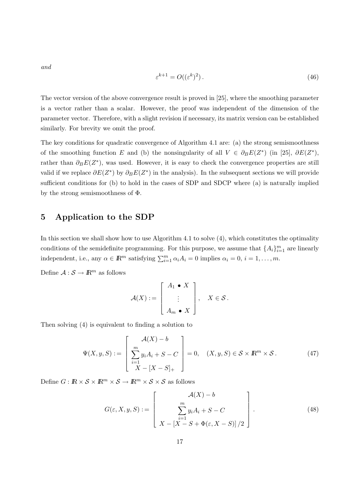$$
\varepsilon^{k+1} = O((\varepsilon^k)^2). \tag{46}
$$

The vector version of the above convergence result is proved in [25], where the smoothing parameter is a vector rather than a scalar. However, the proof was independent of the dimension of the parameter vector. Therefore, with a slight revision if necessary, its matrix version can be established similarly. For brevity we omit the proof.

The key conditions for quadratic convergence of Algorithm 4.1 are: (a) the strong semismoothness of the smoothing function E and (b) the nonsingularity of all  $V \in \partial_B E(Z^*)$  (in [25],  $\partial E(Z^*)$ , rather than  $\partial_B E(Z^*)$ , was used. However, it is easy to check the convergence properties are still valid if we replace  $\partial E(Z^*)$  by  $\partial_B E(Z^*)$  in the analysis). In the subsequent sections we will provide sufficient conditions for (b) to hold in the cases of SDP and SDCP where (a) is naturally implied by the strong semismoothness of Φ.

## 5 Application to the SDP

In this section we shall show how to use Algorithm 4.1 to solve (4), which constitutes the optimality conditions of the semidefinite programming. For this purpose, we assume that  $\{A_i\}_{i=1}^m$  are linearly independent, i.e., any  $\alpha \in \mathbb{R}^m$  satisfying  $\sum_{i=1}^m \alpha_i A_i = 0$  implies  $\alpha_i = 0, i = 1, \ldots, m$ .

Define  $A: \mathcal{S} \to \mathbb{R}^m$  as follows

$$
\mathcal{A}(X) := \left[ \begin{array}{c} A_1 \bullet X \\ \vdots \\ A_m \bullet X \end{array} \right], \quad X \in \mathcal{S}.
$$

Then solving (4) is equivalent to finding a solution to

$$
\Psi(X, y, S) := \begin{bmatrix} \mathcal{A}(X) - b \\ \sum_{i=1}^{m} y_i A_i + S - C \\ X - [X - S]_+ \end{bmatrix} = 0, \quad (X, y, S) \in \mathcal{S} \times \mathbb{R}^m \times \mathcal{S}.
$$
 (47)

Define  $G: \mathbb{R} \times \mathcal{S} \times \mathbb{R}^m \times \mathcal{S} \to \mathbb{R}^m \times \mathcal{S} \times \mathcal{S}$  as follows

$$
G(\varepsilon, X, y, S) := \left[ \begin{array}{c} \mathcal{A}(X) - b \\ \sum_{i=1}^{m} y_i A_i + S - C \\ X - [X - S + \Phi(\varepsilon, X - S)] / 2 \end{array} \right].
$$
 (48)

and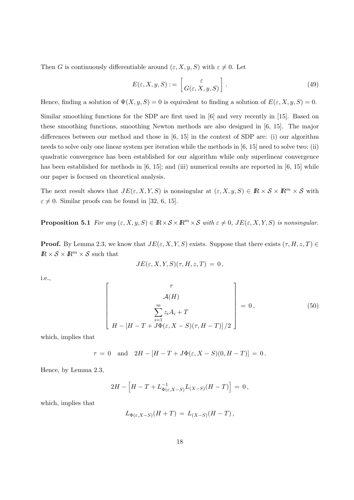Then G is continuously differentiable around  $(\varepsilon, X, y, S)$  with  $\varepsilon \neq 0$ . Let

$$
E(\varepsilon, X, y, S) := \begin{bmatrix} \varepsilon \\ G(\varepsilon, X, y, S) \end{bmatrix} . \tag{49}
$$

Hence, finding a solution of  $\Psi(X, y, S) = 0$  is equivalent to finding a solution of  $E(\varepsilon, X, y, S) = 0$ .

Similar smoothing functions for the SDP are first used in [6] and very recently in [15]. Based on these smoothing functions, smoothing Newton methods are also designed in [6, 15]. The major differences between our method and those in [6, 15] in the context of SDP are: (i) our algorithm needs to solve only one linear system per iteration while the methods in [6, 15] need to solve two; (ii) quadratic convergence has been established for our algorithm while only superlinear convergence has been established for methods in [6, 15]; and (iii) numerical results are reported in [6, 15] while our paper is focused on theoretical analysis.

The next result shows that  $JE(\varepsilon, X, Y, S)$  is nonsingular at  $(\varepsilon, X, y, S) \in \mathbb{R} \times S \times \mathbb{R}^m \times S$  with  $\varepsilon \neq 0$ . Similar proofs can be found in [32, 6, 15].

**Proposition 5.1** For any  $(\varepsilon, X, y, S) \in \mathbb{R} \times S \times \mathbb{R}^m \times S$  with  $\varepsilon \neq 0$ ,  $JE(\varepsilon, X, Y, S)$  is nonsingular.

**Proof.** By Lemma 2.3, we know that  $JE(\varepsilon, X, Y, S)$  exists. Suppose that there exists  $(\tau, H, z, T) \in$  $I\!\!R\times\mathcal{S}\times I\!\!R^m\times\mathcal{S}$  such that

$$
JE(\varepsilon, X, Y, S)(\tau, H, z, T) = 0,
$$

i.e.,

$$
\begin{bmatrix}\n\tau \\
\mathcal{A}(H) \\
\sum_{i=1}^{m} z_i A_i + T \\
H - [H - T + J\Phi(\varepsilon, X - S)(\tau, H - T)]/2\n\end{bmatrix} = 0, \qquad (50)
$$

which, implies that

$$
\tau = 0
$$
 and  $2H - [H - T + J\Phi(\varepsilon, X - S)(0, H - T)] = 0$ .

Hence, by Lemma 2.3,

$$
2H - \left[ H - T + L_{\Phi(\varepsilon, X-S)}^{-1} L_{(X-S)}(H-T) \right] = 0,
$$

which, implies that

$$
L_{\Phi(\varepsilon, X-S)}(H+T) = L_{(X-S)}(H-T),
$$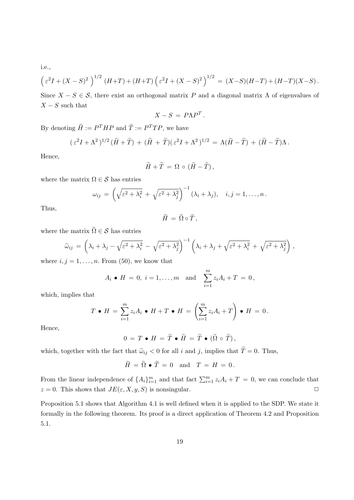i.e.,

$$
\left(\varepsilon^2 I + (X - S)^2\right)^{1/2} (H + T) + (H + T) \left(\varepsilon^2 I + (X - S)^2\right)^{1/2} = (X - S)(H - T) + (H - T)(X - S).
$$

Since  $X - S \in \mathcal{S}$ , there exist an orthogonal matrix P and a diagonal matrix  $\Lambda$  of eigenvalues of  $X - S$  such that

$$
X-S\,=\,P\Lambda P^T\,.
$$

By denoting  $\widetilde{H} := P^T H P$  and  $\widetilde{T} := P^T T P$ , we have

$$
(\varepsilon^2 I + \Lambda^2)^{1/2} (\tilde{H} + \tilde{T}) + (\tilde{H} + \tilde{T}) (\varepsilon^2 I + \Lambda^2)^{1/2} = \Lambda (\tilde{H} - \tilde{T}) + (\tilde{H} - \tilde{T}) \Lambda.
$$

Hence,

$$
\widetilde{H}+\widetilde{T}=\Omega\,\circ\,(\widetilde{H}-\widetilde{T}),
$$

where the matrix  $\Omega \in \mathcal{S}$  has entries

$$
\omega_{ij} = \left(\sqrt{\varepsilon^2 + \lambda_i^2} + \sqrt{\varepsilon^2 + \lambda_j^2}\right)^{-1} (\lambda_i + \lambda_j), \quad i, j = 1, \dots, n.
$$

Thus,

$$
\widetilde{H} = \widetilde{\Omega} \circ \widetilde{T},
$$

where the matrix  $\tilde{\Omega} \in \mathcal{S}$  has entries

$$
\widetilde{\omega}_{ij} = \left(\lambda_i + \lambda_j - \sqrt{\varepsilon^2 + \lambda_i^2} - \sqrt{\varepsilon^2 + \lambda_j^2}\right)^{-1} \left(\lambda_i + \lambda_j + \sqrt{\varepsilon^2 + \lambda_i^2} + \sqrt{\varepsilon^2 + \lambda_j^2}\right),
$$

where  $i, j = 1, \ldots, n$ . From (50), we know that

$$
A_i \bullet H = 0, \ i = 1, ..., m \text{ and } \sum_{i=1}^{m} z_i A_i + T = 0,
$$

which, implies that

$$
T \bullet H = \sum_{i=1}^{m} z_i A_i \bullet H + T \bullet H = \left(\sum_{i=1}^{m} z_i A_i + T\right) \bullet H = 0.
$$

Hence,

$$
0 = T \bullet H = \widetilde{T} \bullet \widetilde{H} = \widetilde{T} \bullet (\widetilde{\Omega} \circ \widetilde{T}),
$$

which, together with the fact that  $\tilde{\omega}_{ij} < 0$  for all i and j, implies that  $\tilde{T} = 0$ . Thus,

$$
\widetilde{H} = \widetilde{\Omega} \bullet \widetilde{T} = 0 \text{ and } T = H = 0.
$$

From the linear independence of  $\{A_i\}_{i=1}^m$  and that fact  $\sum_{i=1}^m z_i A_i + T = 0$ , we can conclude that  $z = 0$ . This shows that  $JE(\varepsilon, X, y, S)$  is nonsingular.

Proposition 5.1 shows that Algorithm 4.1 is well defined when it is applied to the SDP. We state it formally in the following theorem. Its proof is a direct application of Theorem 4.2 and Proposition 5.1.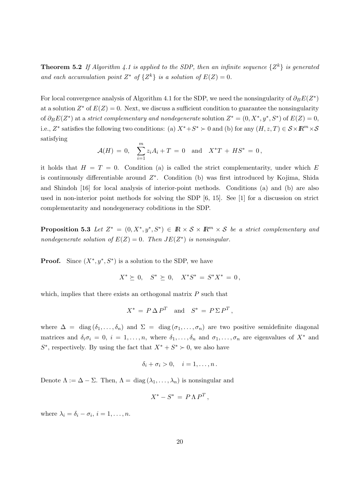**Theorem 5.2** If Algorithm 4.1 is applied to the SDP, then an infinite sequence  $\{Z^k\}$  is generated and each accumulation point  $Z^*$  of  $\{Z^k\}$  is a solution of  $E(Z) = 0$ .

For local convergence analysis of Algorithm 4.1 for the SDP, we need the nonsingularity of  $\partial_B E(Z^*)$ at a solution  $Z^*$  of  $E(Z) = 0$ . Next, we discuss a sufficient condition to guarantee the nonsingularity of  $\partial_B E(Z^*)$  at a strict complementary and nondegenerate solution  $Z^* = (0, X^*, y^*, S^*)$  of  $E(Z) = 0$ , i.e., Z<sup>\*</sup> satisfies the following two conditions: (a)  $X^* + S^* \succ 0$  and (b) for any  $(H, z, T) \in S \times \mathbb{R}^m \times S$ satisfying

$$
\mathcal{A}(H) = 0, \quad \sum_{i=1}^{m} z_i A_i + T = 0 \quad \text{and} \quad X^*T + HS^* = 0,
$$

it holds that  $H = T = 0$ . Condition (a) is called the strict complementarity, under which E is continuously differentiable around  $Z^*$ . Condition (b) was first introduced by Kojima, Shida and Shindoh [16] for local analysis of interior-point methods. Conditions (a) and (b) are also used in non-interior point methods for solving the SDP [6, 15]. See [1] for a discussion on strict complementarity and nondegeneracy cobditions in the SDP.

**Proposition 5.3** Let  $Z^* = (0, X^*, y^*, S^*) \in \mathbb{R} \times S \times \mathbb{R}^m \times S$  be a strict complementary and nondegenerate solution of  $E(Z) = 0$ . Then  $JE(Z^*)$  is nonsingular.

**Proof.** Since  $(X^*, y^*, S^*)$  is a solution to the SDP, we have

$$
X^* \succeq 0, \quad S^* \succeq 0, \quad X^* S^* = S^* X^* = 0,
$$

which, implies that there exists an orthogonal matrix  $P$  such that

$$
X^* = P \Delta P^T \quad \text{and} \quad S^* = P \Sigma P^T,
$$

where  $\Delta = \text{diag}(\delta_1, \ldots, \delta_n)$  and  $\Sigma = \text{diag}(\sigma_1, \ldots, \sigma_n)$  are two positive semidefinite diagonal matrices and  $\delta_i \sigma_i = 0$ ,  $i = 1, \ldots, n$ , where  $\delta_1, \ldots, \delta_n$  and  $\sigma_1, \ldots, \sigma_n$  are eigenvalues of  $X^*$  and S<sup>\*</sup>, respectively. By using the fact that  $X^* + S^* \succ 0$ , we also have

$$
\delta_i + \sigma_i > 0, \quad i = 1, \dots, n \, .
$$

Denote  $\Lambda := \Delta - \Sigma$ . Then,  $\Lambda = \text{diag}(\lambda_1, \ldots, \lambda_n)$  is nonsingular and

$$
X^* - S^* = P \Lambda P^T,
$$

where  $\lambda_i = \delta_i - \sigma_i$ ,  $i = 1, \ldots, n$ .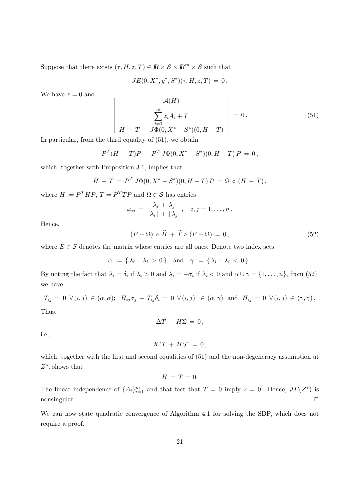Suppose that there exists  $(\tau, H, z, T) \in \mathbb{R} \times S \times \mathbb{R}^m \times S$  such that

$$
JE(0, X^*, y^*, S^*)(\tau, H, z, T) = 0.
$$

We have  $\tau = 0$  and

$$
\left[\begin{array}{c}\n\mathcal{A}(H) \\
\sum_{i=1}^{m} z_i A_i + T \\
H + T - J\Phi(0, X^* - S^*)(0, H - T)\n\end{array}\right] = 0.
$$
\n(51)

In particular, from the third equality of (51), we obtain

$$
P^{T}(H + T)P - P^{T} J\Phi(0, X^{*} - S^{*})(0, H - T) P = 0,
$$

which, together with Proposition 3.1, implies that

$$
\widetilde{H} + \widetilde{T} = P^T J \Phi(0, X^* - S^*)(0, H - T) P = \Omega \circ (\widetilde{H} - \widetilde{T}),
$$

where  $\widetilde{H} := P^T H P$ ,  $\widetilde{T} = P^T T P$  and  $\Omega \in \mathcal{S}$  has entries

$$
\omega_{ij} = \frac{\lambda_i + \lambda_j}{|\lambda_i| + |\lambda_j|}, \quad i, j = 1, \dots, n.
$$

Hence,

$$
(E - \Omega) \circ \tilde{H} + \tilde{T} \circ (E + \Omega) = 0, \qquad (52)
$$

where  $E \in \mathcal{S}$  denotes the matrix whose entries are all ones. Denote two index sets

$$
\alpha := \{\lambda_i : \lambda_i > 0\} \text{ and } \gamma := \{\lambda_i : \lambda_i < 0\}.
$$

By noting the fact that  $\lambda_i = \delta_i$  if  $\lambda_i > 0$  and  $\lambda_i = -\sigma_i$  if  $\lambda_i < 0$  and  $\alpha \cup \gamma = \{1, \ldots, n\}$ , from (52), we have

$$
\widetilde{T}_{ij} = 0 \ \forall (i,j) \in (\alpha, \alpha); \ \widetilde{H}_{ij}\sigma_j + \widetilde{T}_{ij}\delta_i = 0 \ \forall (i,j) \ \in (\alpha, \gamma) \ \text{and} \ \widetilde{H}_{ij} = 0 \ \forall (i,j) \in (\gamma, \gamma).
$$

Thus,

$$
\Delta \widetilde{T} + \widetilde{H} \Sigma = 0 \,,
$$

i.e.,

$$
X^*T + HS^* = 0,
$$

which, together with the first and second equalities of  $(51)$  and the non-degeneracy assumption at Z ∗ , shows that

$$
H = T = 0.
$$

The linear independence of  $\{A_i\}_{i=1}^m$  and that fact that  $T = 0$  imply  $z = 0$ . Hence,  $JE(Z^*)$  is nonsingular.  $\Box$ 

We can now state quadratic convergence of Algorithm 4.1 for solving the SDP, which does not require a proof.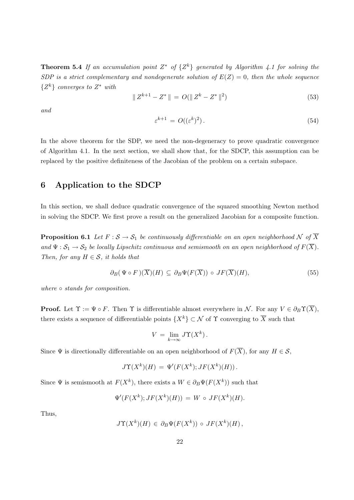**Theorem 5.4** If an accumulation point  $Z^*$  of  $\{Z^k\}$  generated by Algorithm 4.1 for solving the SDP is a strict complementary and nondegenerate solution of  $E(Z) = 0$ , then the whole sequence  $\{Z^k\}$  converges to  $Z^*$  with

$$
||Z^{k+1} - Z^*|| = O(||Z^k - Z^*||^2)
$$
\n(53)

and

$$
\varepsilon^{k+1} = O((\varepsilon^k)^2). \tag{54}
$$

In the above theorem for the SDP, we need the non-degeneracy to prove quadratic convergence of Algorithm 4.1. In the next section, we shall show that, for the SDCP, this assumption can be replaced by the positive definiteness of the Jacobian of the problem on a certain subspace.

## 6 Application to the SDCP

In this section, we shall deduce quadratic convergence of the squared smoothing Newton method in solving the SDCP. We first prove a result on the generalized Jacobian for a composite function.

**Proposition 6.1** Let  $F : \mathcal{S} \to \mathcal{S}_1$  be continuously differentiable on an open neighborhood N of  $\overline{X}$ and  $\Psi: \mathcal{S}_1 \to \mathcal{S}_2$  be locally Lipschitz continuous and semismooth on an open neighborhood of  $F(\overline{X})$ . Then, for any  $H \in \mathcal{S}$ , it holds that

$$
\partial_B(\Psi \circ F)(\overline{X})(H) \subseteq \partial_B \Psi(F(\overline{X})) \circ JF(\overline{X})(H),\tag{55}
$$

where  $\circ$  stands for composition.

**Proof.** Let  $\Upsilon := \Psi \circ F$ . Then  $\Upsilon$  is differentiable almost everywhere in N. For any  $V \in \partial_B \Upsilon(\overline{X})$ , there exists a sequence of differentiable points  $\{X^k\} \subset \mathcal{N}$  of  $\Upsilon$  converging to  $\overline{X}$  such that

$$
V = \lim_{k \to \infty} J \Upsilon(X^k) \, .
$$

Since  $\Psi$  is directionally differentiable on an open neighborhood of  $F(\overline{X})$ , for any  $H \in \mathcal{S}$ ,

$$
J\Upsilon(X^k)(H) = \Psi'(F(X^k); JF(X^k)(H)).
$$

Since  $\Psi$  is semismooth at  $F(X^k)$ , there exists a  $W \in \partial_B \Psi(F(X^k))$  such that

$$
\Psi'(F(X^k); JF(X^k)(H)) = W \circ JF(X^k)(H).
$$

Thus,

$$
J\Upsilon(X^k)(H) \in \partial_B \Psi(F(X^k)) \circ JF(X^k)(H),
$$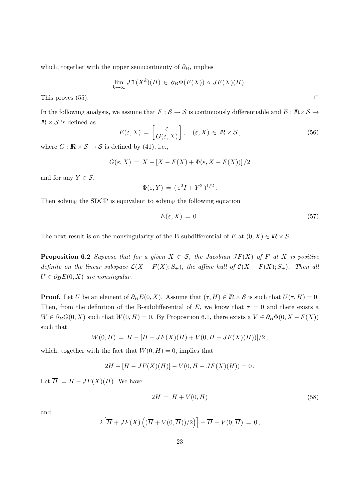which, together with the upper semicontinuity of  $\partial_B$ , implies

$$
\lim_{k\to\infty} J\Upsilon(X^k)(H) \in \partial_B \Psi(F(\overline{X})) \circ JF(\overline{X})(H).
$$

This proves  $(55)$ .

In the following analysis, we assume that  $F : S \to S$  is continuously differentiable and  $E : \mathbb{R} \times S \to$  $\mathbb{R} \times \mathcal{S}$  is defined as

$$
E(\varepsilon, X) = \begin{bmatrix} \varepsilon \\ G(\varepsilon, X) \end{bmatrix}, \quad (\varepsilon, X) \in \mathbb{R} \times \mathcal{S}, \tag{56}
$$

where  $G : \mathbb{R} \times \mathcal{S} \to \mathcal{S}$  is defined by (41), i.e.,

$$
G(\varepsilon, X) = X - [X - F(X) + \Phi(\varepsilon, X - F(X))]/2
$$

and for any  $Y \in \mathcal{S}$ ,

$$
\Phi(\varepsilon, Y) = (\varepsilon^2 I + Y^2)^{1/2}.
$$

Then solving the SDCP is equivalent to solving the following equation

$$
E(\varepsilon, X) = 0. \tag{57}
$$

The next result is on the nonsingularity of the B-subdifferential of E at  $(0, X) \in \mathbb{R} \times S$ .

**Proposition 6.2** Suppose that for a given  $X \in \mathcal{S}$ , the Jacobian JF(X) of F at X is positive definite on the linear subspace  $\mathcal{L}(X - F(X); S_+)$ , the affine hull of  $\mathcal{C}(X - F(X); S_+)$ . Then all  $U \in \partial_B E(0, X)$  are nonsingular.

**Proof.** Let U be an element of  $\partial_B E(0, X)$ . Assume that  $(\tau, H) \in \mathbb{R} \times S$  is such that  $U(\tau, H) = 0$ . Then, from the definition of the B-subdifferential of E, we know that  $\tau = 0$  and there exists a  $W \in \partial_B G(0, X)$  such that  $W(0, H) = 0$ . By Proposition 6.1, there exists a  $V \in \partial_B \Phi(0, X - F(X))$ such that

$$
W(0, H) = H - [H - JF(X)(H) + V(0, H - JF(X)(H))]/2,
$$

which, together with the fact that  $W(0, H) = 0$ , implies that

$$
2H - [H - JF(X)(H)] - V(0, H - JF(X)(H)) = 0.
$$

Let  $\overline{H} := H - JF(X)(H)$ . We have

$$
2H = \overline{H} + V(0, \overline{H})\tag{58}
$$

and

$$
2\left[\overline{H}+JF(X)\left((\overline{H}+V(0,\overline{H}))/2\right)\right]-\overline{H}-V(0,\overline{H})=0,
$$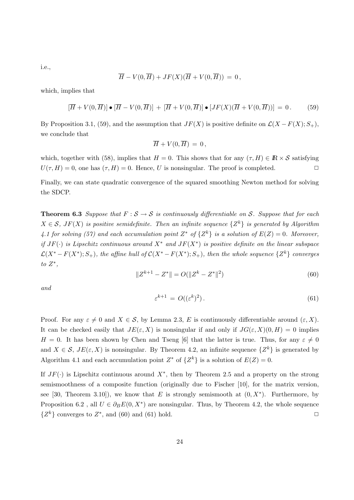i.e.,

$$
\overline{H} - V(0, \overline{H}) + JF(X)(\overline{H} + V(0, \overline{H})) = 0,
$$

which, implies that

$$
[\overline{H} + V(0, \overline{H})] \bullet [\overline{H} - V(0, \overline{H})] + [\overline{H} + V(0, \overline{H})] \bullet [JF(X)(\overline{H} + V(0, \overline{H}))] = 0. \tag{59}
$$

By Proposition 3.1, (59), and the assumption that  $JF(X)$  is positive definite on  $\mathcal{L}(X - F(X); S_+)$ , we conclude that

$$
\overline{H}+V(0,\overline{H})\,=\,0\,,
$$

which, together with (58), implies that  $H = 0$ . This shows that for any  $(\tau, H) \in \mathbb{R} \times S$  satisfying  $U(\tau, H) = 0$ , one has  $(\tau, H) = 0$ . Hence, U is nonsingular. The proof is completed.

Finally, we can state quadratic convergence of the squared smoothing Newton method for solving the SDCP.

**Theorem 6.3** Suppose that  $F : S \to S$  is continuously differentiable on S. Suppose that for each  $X \in \mathcal{S}, JF(X)$  is positive semidefinite. Then an infinite sequence  $\{Z^k\}$  is generated by Algorithm 4.1 for solving (57) and each accumulation point  $Z^*$  of  $\{Z^k\}$  is a solution of  $E(Z) = 0$ . Moreover, if  $JF(\cdot)$  is Lipschitz continuous around  $X^*$  and  $JF(X^*)$  is positive definite on the linear subspace  $\mathcal{L}(X^* - F(X^*); S_+)$ , the affine hull of  $\mathcal{C}(X^* - F(X^*); S_+)$ , then the whole sequence  $\{Z^k\}$  converges to  $Z^*$ ,

$$
||Z^{k+1} - Z^*|| = O(||Z^k - Z^*||^2)
$$
\n(60)

and

$$
\varepsilon^{k+1} = O((\varepsilon^k)^2). \tag{61}
$$

Proof. For any  $\varepsilon \neq 0$  and  $X \in \mathcal{S}$ , by Lemma 2.3, E is continuously differentiable around  $(\varepsilon, X)$ . It can be checked easily that  $JE(\varepsilon, X)$  is nonsingular if and only if  $JG(\varepsilon, X)(0, H) = 0$  implies  $H = 0$ . It has been shown by Chen and Tseng [6] that the latter is true. Thus, for any  $\varepsilon \neq 0$ and  $X \in \mathcal{S}, \, JE(\varepsilon, X)$  is nonsingular. By Theorem 4.2, an infinite sequence  $\{Z^k\}$  is generated by Algorithm 4.1 and each accumulation point  $Z^*$  of  $\{Z^k\}$  is a solution of  $E(Z) = 0$ .

If  $JF(\cdot)$  is Lipschitz continuous around  $X^*$ , then by Theorem 2.5 and a property on the strong semismoothness of a composite function (originally due to Fischer [10], for the matrix version, see [30, Theorem 3.10]), we know that E is strongly semismooth at  $(0, X^*)$ . Furthermore, by Proposition 6.2, all  $U \in \partial_B E(0, X^*)$  are nonsingular. Thus, by Theorem 4.2, the whole sequence  $\{Z^k\}$  converges to  $Z^*$ , and (60) and (61) hold.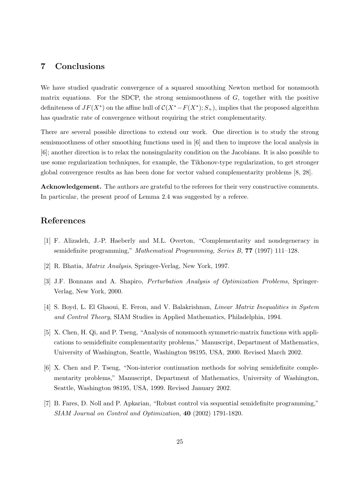### 7 Conclusions

We have studied quadratic convergence of a squared smoothing Newton method for nonsmooth matrix equations. For the SDCP, the strong semismoothness of  $G$ , together with the positive definiteness of  $JF(X^*)$  on the affine hull of  $\mathcal{C}(X^* - F(X^*); S_+)$ , implies that the proposed algorithm has quadratic rate of convergence without requiring the strict complementarity.

There are several possible directions to extend our work. One direction is to study the strong semismoothness of other smoothing functions used in [6] and then to improve the local analysis in [6]; another direction is to relax the nonsingularity condition on the Jacobians. It is also possible to use some regularization techniques, for example, the Tikhonov-type regularization, to get stronger global convergence results as has been done for vector valued complementarity problems [8, 28].

Acknowledgement. The authors are grateful to the referees for their very constructive comments. In particular, the present proof of Lemma 2.4 was suggested by a referee.

## References

- [1] F. Alizadeh, J.-P. Haeberly and M.L. Overton, "Complementarity and nondegeneracy in semidefinite programming," Mathematical Programming, Series B, 77 (1997) 111–128.
- [2] R. Bhatia, Matrix Analysis, Springer-Verlag, New York, 1997.
- [3] J.F. Bonnans and A. Shapiro, Perturbation Analysis of Optimization Problems, Springer-Verlag, New York, 2000.
- [4] S. Boyd, L. El Ghaoui, E. Feron, and V. Balakrishnan, Linear Matrix Inequalities in System and Control Theory, SIAM Studies in Applied Mathematics, Philadelphia, 1994.
- [5] X. Chen, H. Qi, and P. Tseng, "Analysis of nonsmooth symmetric-matrix functions with applications to semidefinite complementarity problems," Manuscript, Department of Mathematics, University of Washington, Seattle, Washington 98195, USA, 2000. Revised March 2002.
- [6] X. Chen and P. Tseng, "Non-interior continuation methods for solving semidefinite complementarity problems," Manuscript, Department of Mathematics, University of Washington, Seattle, Washington 98195, USA, 1999. Revised January 2002.
- [7] B. Fares, D. Noll and P. Apkarian, "Robust control via sequential semidefinite programming," SIAM Journal on Control and Optimization, 40 (2002) 1791-1820.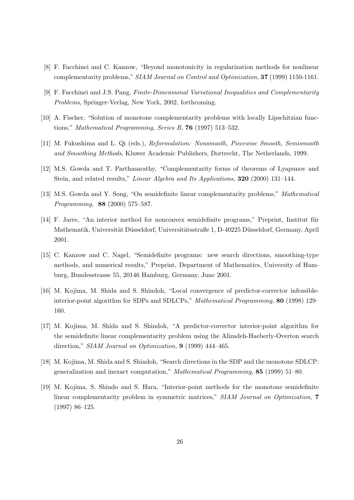- [8] F. Facchinei and C. Kanzow, "Beyond monotonicity in regularization methods for nonlinear complementarity problems," SIAM Journal on Control and Optimization, 37 (1999) 1150-1161.
- [9] F. Facchinei and J.S. Pang, Finite-Dimensional Variational Inequalities and Complementarity Problems, Springer-Verlag, New York, 2002, forthcoming.
- [10] A. Fischer, "Solution of monotone complementarity problems with locally Lipschitzian functions," Mathematical Programming, Series B, 76 (1997) 513–532.
- [11] M. Fukushima and L. Qi (eds.), Reformulation: Nonsmooth, Piecewise Smooth, Semismooth and Smoothing Methods, Kluwer Academic Publishers, Dortrecht, The Netherlands, 1999.
- [12] M.S. Gowda and T. Parthasarathy, "Complementarity forms of theorems of Lyapunov and Stein, and related results," Linear Algebra and Its Applications, 320 (2000) 131–144.
- [13] M.S. Gowda and Y. Song, "On semidefinite linear complementarity problems," Mathematical Programming, 88 (2000) 575–587.
- [14] F. Jarre, "An interior method for nonconvex semidefinite programs," Preprint, Institut für Mathematik, Universität Düsseldorf, Universitätsstraße 1, D-40225 Düsseldorf, Germany, April 2001.
- [15] C. Kanzow and C. Nagel, "Semidefinite programs: new search directions, smoothing-type methods, and numerical results," Preprint, Department of Mathematics, University of Hamburg, Bundesstrasse 55, 20146 Hamburg, Germany, June 2001.
- [16] M. Kojima, M. Shida and S. Shindoh, "Local convergence of predictor-corrector infeasibleinterior-point algorithm for SDPs and SDLCPs," Mathematical Programming, 80 (1998) 129– 160.
- [17] M. Kojima, M. Shida and S. Shindoh, "A predictor-corrector interior-point algorithm for the semidefinite linear complementarity problem using the Alizadeh-Haeberly-Overton search direction," SIAM Journal on Optimization, 9 (1999) 444–465.
- [18] M. Kojima, M. Shida and S. Shindoh, "Search directions in the SDP and the monotone SDLCP: generalization and inexact computation," Mathematical Programming, 85 (1999) 51–80.
- [19] M. Kojima, S. Shindo and S. Hara, "Interior-point methods for the monotone semidefinite linear complementarity problem in symmetric matrices," SIAM Journal on Optimization, 7 (1997) 86–125.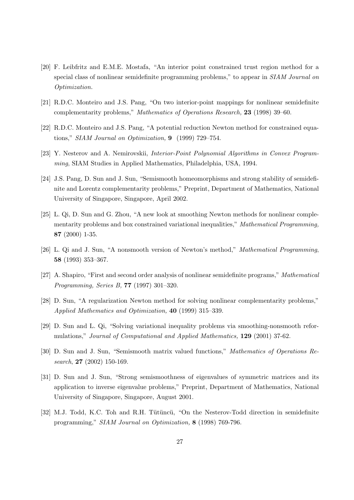- [20] F. Leibfritz and E.M.E. Mostafa, "An interior point constrained trust region method for a special class of nonlinear semidefinite programming problems," to appear in SIAM Journal on Optimization.
- [21] R.D.C. Monteiro and J.S. Pang, "On two interior-point mappings for nonlinear semidefinite complementarity problems," Mathematics of Operations Research, 23 (1998) 39–60.
- [22] R.D.C. Monteiro and J.S. Pang, "A potential reduction Newton method for constrained equations," SIAM Journal on Optimization, 9 (1999) 729–754.
- [23] Y. Nesterov and A. Nemirovskii, Interior-Point Polynomial Algorithms in Convex Programming, SIAM Studies in Applied Mathematics, Philadelphia, USA, 1994.
- [24] J.S. Pang, D. Sun and J. Sun, "Semismooth homeomorphisms and strong stability of semidefinite and Lorentz complementarity problems," Preprint, Department of Mathematics, National University of Singapore, Singapore, April 2002.
- [25] L. Qi, D. Sun and G. Zhou, "A new look at smoothing Newton methods for nonlinear complementarity problems and box constrained variational inequalities," Mathematical Programming, 87 (2000) 1-35.
- [26] L. Qi and J. Sun, "A nonsmooth version of Newton's method," Mathematical Programming, 58 (1993) 353–367.
- [27] A. Shapiro, "First and second order analysis of nonlinear semidefinite programs," Mathematical Programming, Series B, 77 (1997) 301–320.
- [28] D. Sun, "A regularization Newton method for solving nonlinear complementarity problems," Applied Mathematics and Optimization, 40 (1999) 315–339.
- [29] D. Sun and L. Qi, "Solving variational inequality problems via smoothing-nonsmooth reformulations," Journal of Computational and Applied Mathematics, 129 (2001) 37-62.
- [30] D. Sun and J. Sun, "Semismooth matrix valued functions," Mathematics of Operations Research, **27** (2002) 150-169.
- [31] D. Sun and J. Sun, "Strong semismoothness of eigenvalues of symmetric matrices and its application to inverse eigenvalue problems," Preprint, Department of Mathematics, National University of Singapore, Singapore, August 2001.
- [32] M.J. Todd, K.C. Toh and R.H. Tütüncü, "On the Nesterov-Todd direction in semidefinite programming," SIAM Journal on Optimization, 8 (1998) 769-796.